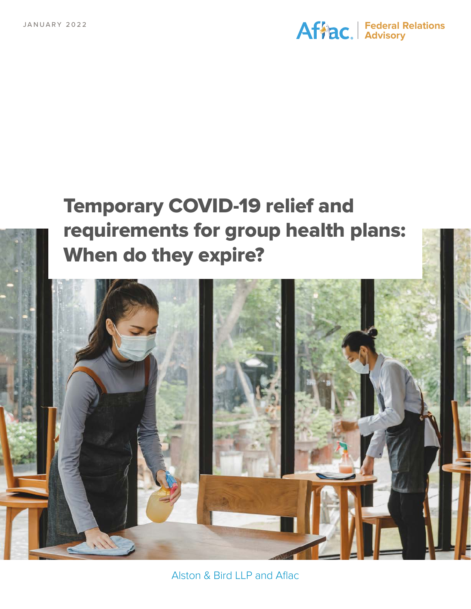#### **Federal Relations Advisory**

# Temporary COVID-19 relief and requirements for group health plans: When do they expire?



Alston & Bird LLP and Aflac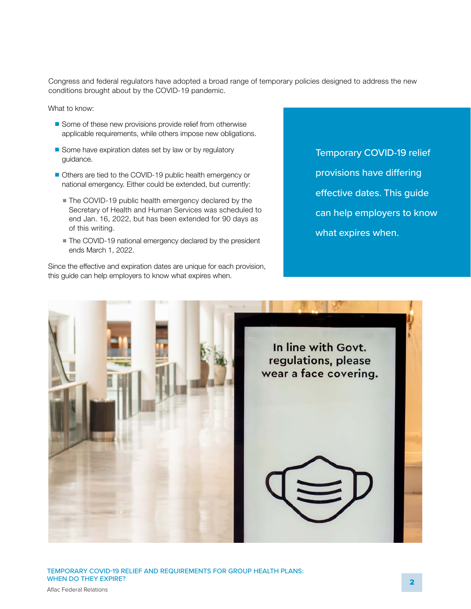Congress and federal regulators have adopted a broad range of temporary policies designed to address the new conditions brought about by the COVID-19 pandemic.

What to know:

- Some of these new provisions provide relief from otherwise applicable requirements, while others impose new obligations.
- Some have expiration dates set by law or by regulatory guidance.
- Others are tied to the COVID-19 public health emergency or national emergency. Either could be extended, but currently:
	- The COVID-19 public health emergency declared by the Secretary of Health and Human Services was scheduled to end Jan. 16, 2022, but has been extended for 90 days as of this writing.
	- The COVID-19 national emergency declared by the president ends March 1, 2022.

Since the effective and expiration dates are unique for each provision, this guide can help employers to know what expires when.

Temporary COVID-19 relief provisions have differing effective dates. This guide can help employers to know what expires when.



TEMPORARY COVID-19 RELIEF AND REQUIREMENTS FOR GROUP HEALTH PLANS: WHEN DO THEY EXPIRE?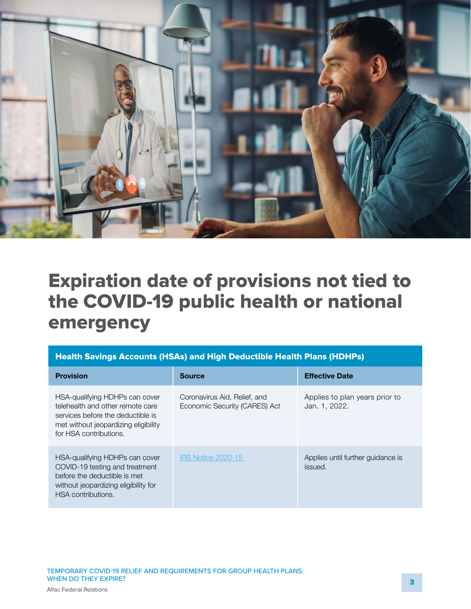

## Expiration date of provisions not tied to the COVID-19 public health or national emergency

| Health Savings Accounts (HSAs) and High Deductible Health Plans (HDHPs) |
|-------------------------------------------------------------------------|
|-------------------------------------------------------------------------|

| <b>Provision</b>                                                                                                                                                          | Source                                                        | <b>Effective Date</b>                           |
|---------------------------------------------------------------------------------------------------------------------------------------------------------------------------|---------------------------------------------------------------|-------------------------------------------------|
| HSA-qualifying HDHPs can cover<br>telehealth and other remote care<br>services before the deductible is<br>met without jeopardizing eligibility<br>for HSA contributions. | Coronavirus Aid, Relief, and<br>Economic Security (CARES) Act | Applies to plan years prior to<br>Jan. 1, 2022. |
| HSA-qualifying HDHPs can cover<br>COVID-19 testing and treatment<br>before the deductible is met<br>without jeopardizing eligibility for<br>HSA contributions.            | <b>IRS Notice 2020-15</b>                                     | Applies until further quidance is<br>issued.    |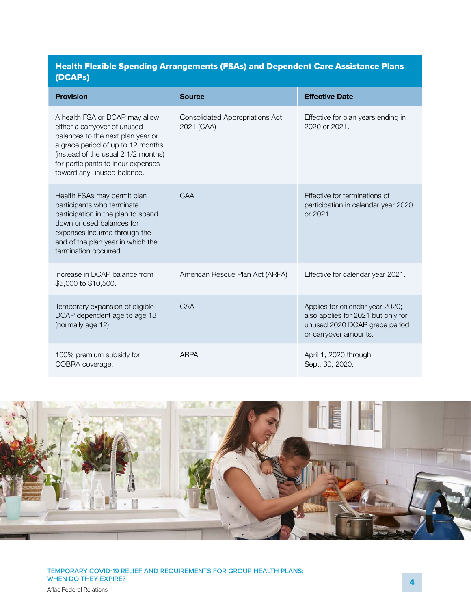#### Health Flexible Spending Arrangements (FSAs) and Dependent Care Assistance Plans (DCAPs)

| <b>Provision</b>                                                                                                                                                                                                                                    | <b>Source</b>                                  | <b>Effective Date</b>                                                                                                           |
|-----------------------------------------------------------------------------------------------------------------------------------------------------------------------------------------------------------------------------------------------------|------------------------------------------------|---------------------------------------------------------------------------------------------------------------------------------|
| A health FSA or DCAP may allow<br>either a carryover of unused<br>balances to the next plan year or<br>a grace period of up to 12 months<br>(instead of the usual 2 1/2 months)<br>for participants to incur expenses<br>toward any unused balance. | Consolidated Appropriations Act,<br>2021 (CAA) | Effective for plan years ending in<br>2020 or 2021.                                                                             |
| Health FSAs may permit plan<br>participants who terminate<br>participation in the plan to spend<br>down unused balances for<br>expenses incurred through the<br>end of the plan year in which the<br>termination occurred.                          | CAA                                            | Effective for terminations of<br>participation in calendar year 2020<br>or 2021.                                                |
| Increase in DCAP balance from<br>\$5,000 to \$10,500.                                                                                                                                                                                               | American Rescue Plan Act (ARPA)                | Effective for calendar year 2021.                                                                                               |
| Temporary expansion of eligible<br>DCAP dependent age to age 13<br>(normally age 12).                                                                                                                                                               | CAA                                            | Applies for calendar year 2020;<br>also applies for 2021 but only for<br>unused 2020 DCAP grace period<br>or carryover amounts. |
| 100% premium subsidy for<br>COBRA coverage.                                                                                                                                                                                                         | <b>ARPA</b>                                    | April 1, 2020 through<br>Sept. 30, 2020.                                                                                        |

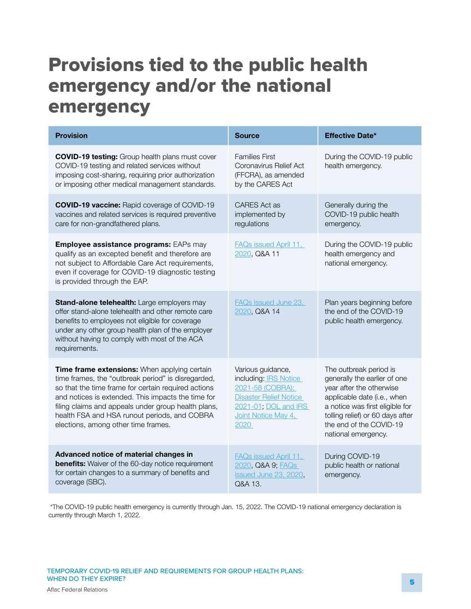# Provisions tied to the public health emergency and/or the national emergency

| <b>Provision</b>                                                                                                                                                                                                                                                                                                                                              | <b>Source</b>                                                                                                                                                 | <b>Effective Date*</b>                                                                                                                                                                                                                     |
|---------------------------------------------------------------------------------------------------------------------------------------------------------------------------------------------------------------------------------------------------------------------------------------------------------------------------------------------------------------|---------------------------------------------------------------------------------------------------------------------------------------------------------------|--------------------------------------------------------------------------------------------------------------------------------------------------------------------------------------------------------------------------------------------|
| <b>COVID-19 testing:</b> Group health plans must cover<br>COVID-19 testing and related services without<br>imposing cost-sharing, requiring prior authorization<br>or imposing other medical management standards.                                                                                                                                            | <b>Families First</b><br>Coronavirus Relief Act<br>(FFCRA), as amended<br>by the CARES Act                                                                    | During the COVID-19 public<br>health emergency.                                                                                                                                                                                            |
| <b>COVID-19 vaccine:</b> Rapid coverage of COVID-19<br>vaccines and related services is required preventive<br>care for non-grandfathered plans.                                                                                                                                                                                                              | <b>CARES</b> Act as<br>implemented by<br>regulations                                                                                                          | Generally during the<br>COVID-19 public health<br>emergency.                                                                                                                                                                               |
| <b>Employee assistance programs: EAPs may</b><br>qualify as an excepted benefit and therefore are<br>not subject to Affordable Care Act requirements,<br>even if coverage for COVID-19 diagnostic testing<br>is provided through the EAP.                                                                                                                     | <b>FAQs issued April 11,</b><br>2020, Q&A 11                                                                                                                  | During the COVID-19 public<br>health emergency and<br>national emergency.                                                                                                                                                                  |
| Stand-alone telehealth: Large employers may<br>offer stand-alone telehealth and other remote care<br>benefits to employees not eligible for coverage<br>under any other group health plan of the employer<br>without having to comply with most of the ACA<br>requirements.                                                                                   | <b>FAQs issued June 23,</b><br>2020, Q&A 14                                                                                                                   | Plan years beginning before<br>the end of the COVID-19<br>public health emergency.                                                                                                                                                         |
| Time frame extensions: When applying certain<br>time frames, the "outbreak period" is disregarded,<br>so that the time frame for certain required actions<br>and notices is extended. This impacts the time for<br>filing claims and appeals under group health plans,<br>health FSA and HSA runout periods, and COBRA<br>elections, among other time frames. | Various guidance,<br>including: <b>IRS Notice</b><br>2021-58 (COBRA);<br><b>Disaster Relief Notice</b><br>2021-01, DOL and IRS<br>Joint Notice May 4,<br>2020 | The outbreak period is<br>generally the earlier of one<br>year after the otherwise<br>applicable date (i.e., when<br>a notice was first eligible for<br>tolling relief) or 60 days after<br>the end of the COVID-19<br>national emergency. |
| Advanced notice of material changes in<br><b>benefits:</b> Waiver of the 60-day notice requirement<br>for certain changes to a summary of benefits and<br>coverage (SBC).                                                                                                                                                                                     | FAQs issued April 11,<br>2020, Q&A 9; FAQs<br>issued June 23, 2020,<br>Q&A 13.                                                                                | During COVID-19<br>public health or national<br>emergency.                                                                                                                                                                                 |

 \*The COVID-19 public health emergency is currently through Jan. 15, 2022. The COVID-19 national emergency declaration is currently through March 1, 2022.